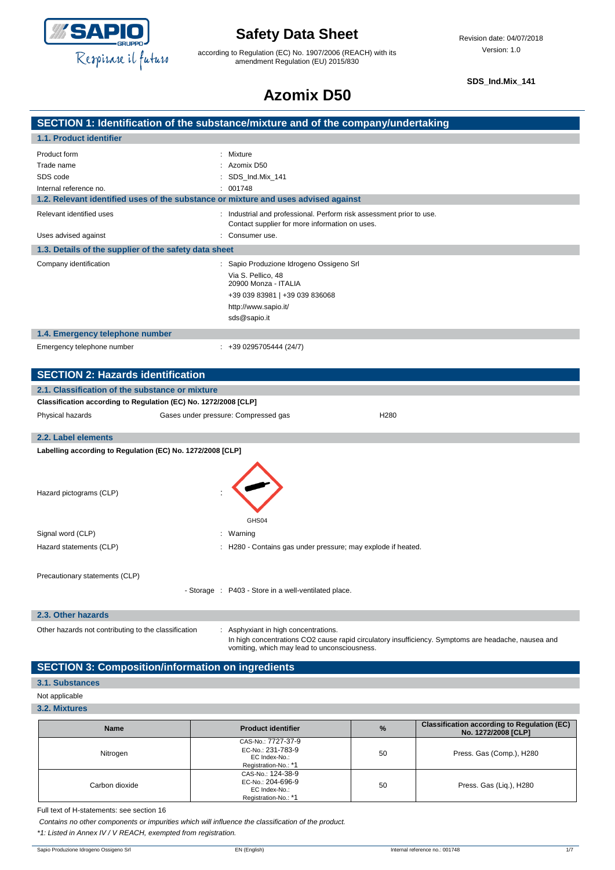

**SECTION 1: Identification of the substance/r** 

## **Safety Data Sheet**

according to Regulation (EC) No. 1907/2006 (REACH) with its amendment Regulation (EU) 2015/830

**SDS\_Ind.Mix\_141**

# **Azomix D50**

| nixture and of the company/undertaking |  |
|----------------------------------------|--|
|                                        |  |
|                                        |  |

| 1.1. Product identifier                                         |                                                                                                                        |
|-----------------------------------------------------------------|------------------------------------------------------------------------------------------------------------------------|
| Product form                                                    | : Mixture                                                                                                              |
| Trade name                                                      | Azomix D50                                                                                                             |
| SDS code                                                        | SDS_Ind.Mix_141                                                                                                        |
| Internal reference no.                                          | : 001748                                                                                                               |
|                                                                 | 1.2. Relevant identified uses of the substance or mixture and uses advised against                                     |
| Relevant identified uses                                        | : Industrial and professional. Perform risk assessment prior to use.<br>Contact supplier for more information on uses. |
| Uses advised against                                            | : Consumer use.                                                                                                        |
| 1.3. Details of the supplier of the safety data sheet           |                                                                                                                        |
| Company identification                                          | : Sapio Produzione Idrogeno Ossigeno Srl                                                                               |
|                                                                 | Via S. Pellico, 48<br>20900 Monza - ITALIA                                                                             |
|                                                                 | +39 039 83981   +39 039 836068                                                                                         |
|                                                                 | http://www.sapio.it/                                                                                                   |
|                                                                 | sds@sapio.it                                                                                                           |
| 1.4. Emergency telephone number                                 |                                                                                                                        |
| Emergency telephone number                                      | $: +390295705444(24/7)$                                                                                                |
|                                                                 |                                                                                                                        |
| <b>SECTION 2: Hazards identification</b>                        |                                                                                                                        |
| 2.1. Classification of the substance or mixture                 |                                                                                                                        |
| Classification according to Regulation (EC) No. 1272/2008 [CLP] |                                                                                                                        |
| Physical hazards                                                | Gases under pressure: Compressed gas<br>H <sub>280</sub>                                                               |
|                                                                 |                                                                                                                        |
| 2.2. Label elements                                             |                                                                                                                        |
| Labelling according to Regulation (EC) No. 1272/2008 [CLP]      |                                                                                                                        |
|                                                                 |                                                                                                                        |
| Hazard pictograms (CLP)                                         |                                                                                                                        |
|                                                                 | GHS04                                                                                                                  |
| Signal word (CLP)                                               | : Warning                                                                                                              |
|                                                                 |                                                                                                                        |
| Hazard statements (CLP)                                         | : H280 - Contains gas under pressure; may explode if heated.                                                           |
|                                                                 |                                                                                                                        |

Precautionary statements (CLP)

- Storage : P403 - Store in a well-ventilated place.

### **2.3. Other hazards**

Other hazards not contributing to the classification : Asphyxiant in high concentrations.

In high concentrations CO2 cause rapid circulatory insufficiency. Symptoms are headache, nausea and vomiting, which may lead to unconsciousness.

### **SECTION 3: Composition/information on ingredients**

### **3.1. Substances**

### Not applicable

**3.2. Mixtures**

| <b>Name</b>    | <b>Product identifier</b>                                                        | %  | <b>Classification according to Regulation (EC)</b><br>No. 1272/2008 [CLP] |
|----------------|----------------------------------------------------------------------------------|----|---------------------------------------------------------------------------|
| Nitrogen       | CAS-No.: 7727-37-9<br>EC-No.: 231-783-9<br>EC Index-No.:<br>Registration-No.: *1 | 50 | Press. Gas (Comp.), H280                                                  |
| Carbon dioxide | CAS-No.: 124-38-9<br>EC-No.: 204-696-9<br>EC Index-No.:<br>Registration-No.: *1  | 50 | Press. Gas (Liq.), H280                                                   |

Full text of H-statements: see section 16

*Contains no other components or impurities which will influence the classification of the product.*

*\*1: Listed in Annex IV / V REACH, exempted from registration.*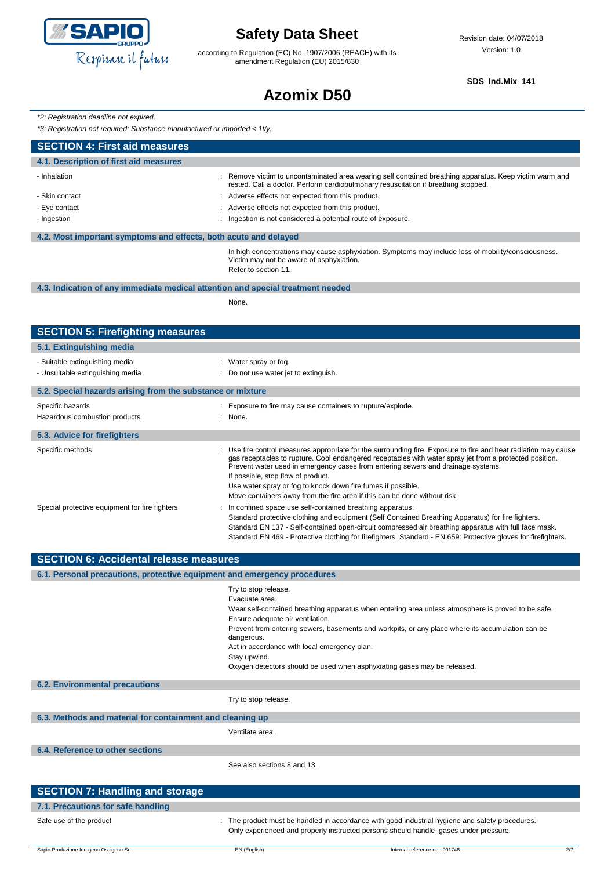

according to Regulation (EC) No. 1907/2006 (REACH) with its amendment Regulation (EU) 2015/830

**SDS\_Ind.Mix\_141**

## **Azomix D50**

*\*2: Registration deadline not expired.*

*\*3: Registration not required: Substance manufactured or imported < 1t/y.*

| $\sigma$ . Region and From required. Substance manufactured or imported $\sim$ Tvy. |                                                                                                                                                                                                                                                                                                                                                                                                                                                                                                                                                                                                                                                                                                                                                                             |
|-------------------------------------------------------------------------------------|-----------------------------------------------------------------------------------------------------------------------------------------------------------------------------------------------------------------------------------------------------------------------------------------------------------------------------------------------------------------------------------------------------------------------------------------------------------------------------------------------------------------------------------------------------------------------------------------------------------------------------------------------------------------------------------------------------------------------------------------------------------------------------|
| <b>SECTION 4: First aid measures</b>                                                |                                                                                                                                                                                                                                                                                                                                                                                                                                                                                                                                                                                                                                                                                                                                                                             |
| 4.1. Description of first aid measures                                              |                                                                                                                                                                                                                                                                                                                                                                                                                                                                                                                                                                                                                                                                                                                                                                             |
| - Inhalation                                                                        | : Remove victim to uncontaminated area wearing self contained breathing apparatus. Keep victim warm and<br>rested. Call a doctor. Perform cardiopulmonary resuscitation if breathing stopped.                                                                                                                                                                                                                                                                                                                                                                                                                                                                                                                                                                               |
| - Skin contact                                                                      | Adverse effects not expected from this product.                                                                                                                                                                                                                                                                                                                                                                                                                                                                                                                                                                                                                                                                                                                             |
| - Eye contact                                                                       | Adverse effects not expected from this product.                                                                                                                                                                                                                                                                                                                                                                                                                                                                                                                                                                                                                                                                                                                             |
| - Ingestion                                                                         | Ingestion is not considered a potential route of exposure.                                                                                                                                                                                                                                                                                                                                                                                                                                                                                                                                                                                                                                                                                                                  |
| 4.2. Most important symptoms and effects, both acute and delayed                    |                                                                                                                                                                                                                                                                                                                                                                                                                                                                                                                                                                                                                                                                                                                                                                             |
|                                                                                     | In high concentrations may cause asphyxiation. Symptoms may include loss of mobility/consciousness.<br>Victim may not be aware of asphyxiation.<br>Refer to section 11.                                                                                                                                                                                                                                                                                                                                                                                                                                                                                                                                                                                                     |
| 4.3. Indication of any immediate medical attention and special treatment needed     |                                                                                                                                                                                                                                                                                                                                                                                                                                                                                                                                                                                                                                                                                                                                                                             |
|                                                                                     | None.                                                                                                                                                                                                                                                                                                                                                                                                                                                                                                                                                                                                                                                                                                                                                                       |
|                                                                                     |                                                                                                                                                                                                                                                                                                                                                                                                                                                                                                                                                                                                                                                                                                                                                                             |
| <b>SECTION 5: Firefighting measures</b>                                             |                                                                                                                                                                                                                                                                                                                                                                                                                                                                                                                                                                                                                                                                                                                                                                             |
| 5.1. Extinguishing media                                                            |                                                                                                                                                                                                                                                                                                                                                                                                                                                                                                                                                                                                                                                                                                                                                                             |
| - Suitable extinguishing media                                                      | : Water spray or fog.                                                                                                                                                                                                                                                                                                                                                                                                                                                                                                                                                                                                                                                                                                                                                       |
| - Unsuitable extinguishing media                                                    | Do not use water jet to extinguish.                                                                                                                                                                                                                                                                                                                                                                                                                                                                                                                                                                                                                                                                                                                                         |
| 5.2. Special hazards arising from the substance or mixture                          |                                                                                                                                                                                                                                                                                                                                                                                                                                                                                                                                                                                                                                                                                                                                                                             |
| Specific hazards                                                                    | Exposure to fire may cause containers to rupture/explode.                                                                                                                                                                                                                                                                                                                                                                                                                                                                                                                                                                                                                                                                                                                   |
| Hazardous combustion products                                                       | : None.                                                                                                                                                                                                                                                                                                                                                                                                                                                                                                                                                                                                                                                                                                                                                                     |
| 5.3. Advice for firefighters                                                        |                                                                                                                                                                                                                                                                                                                                                                                                                                                                                                                                                                                                                                                                                                                                                                             |
| Specific methods<br>Special protective equipment for fire fighters                  | Use fire control measures appropriate for the surrounding fire. Exposure to fire and heat radiation may cause<br>gas receptacles to rupture. Cool endangered receptacles with water spray jet from a protected position.<br>Prevent water used in emergency cases from entering sewers and drainage systems.<br>If possible, stop flow of product.<br>Use water spray or fog to knock down fire fumes if possible.<br>Move containers away from the fire area if this can be done without risk.<br>In confined space use self-contained breathing apparatus.<br>Standard protective clothing and equipment (Self Contained Breathing Apparatus) for fire fighters.<br>Standard EN 137 - Self-contained open-circuit compressed air breathing apparatus with full face mask. |
|                                                                                     | Standard EN 469 - Protective clothing for firefighters. Standard - EN 659: Protective gloves for firefighters.                                                                                                                                                                                                                                                                                                                                                                                                                                                                                                                                                                                                                                                              |
| <b>SECTION 6: Accidental release measures</b>                                       |                                                                                                                                                                                                                                                                                                                                                                                                                                                                                                                                                                                                                                                                                                                                                                             |
| 6.1. Personal precautions, protective equipment and emergency procedures            |                                                                                                                                                                                                                                                                                                                                                                                                                                                                                                                                                                                                                                                                                                                                                                             |
|                                                                                     | Try to stop release.<br>Evacuate area.<br>Wear self-contained breathing apparatus when entering area unless atmosphere is proved to be safe.<br>Ensure adequate air ventilation.<br>Prevent from entering sewers, basements and workpits, or any place where its accumulation can be<br>dangerous.<br>Act in accordance with local emergency plan.<br>Stay upwind.<br>Oxygen detectors should be used when asphyxiating gases may be released.                                                                                                                                                                                                                                                                                                                              |
| <b>6.2. Environmental precautions</b>                                               |                                                                                                                                                                                                                                                                                                                                                                                                                                                                                                                                                                                                                                                                                                                                                                             |
|                                                                                     | Try to stop release.                                                                                                                                                                                                                                                                                                                                                                                                                                                                                                                                                                                                                                                                                                                                                        |
| 6.3. Methods and material for containment and cleaning up                           |                                                                                                                                                                                                                                                                                                                                                                                                                                                                                                                                                                                                                                                                                                                                                                             |
|                                                                                     | Ventilate area.                                                                                                                                                                                                                                                                                                                                                                                                                                                                                                                                                                                                                                                                                                                                                             |
| 6.4. Reference to other sections                                                    |                                                                                                                                                                                                                                                                                                                                                                                                                                                                                                                                                                                                                                                                                                                                                                             |
|                                                                                     | See also sections 8 and 13.                                                                                                                                                                                                                                                                                                                                                                                                                                                                                                                                                                                                                                                                                                                                                 |

| <b>SECTION 7: Handling and storage</b> |                                                                                                                                                                                       |
|----------------------------------------|---------------------------------------------------------------------------------------------------------------------------------------------------------------------------------------|
| 7.1. Precautions for safe handling     |                                                                                                                                                                                       |
| Safe use of the product                | The product must be handled in accordance with good industrial hygiene and safety procedures.<br>Only experienced and properly instructed persons should handle gases under pressure. |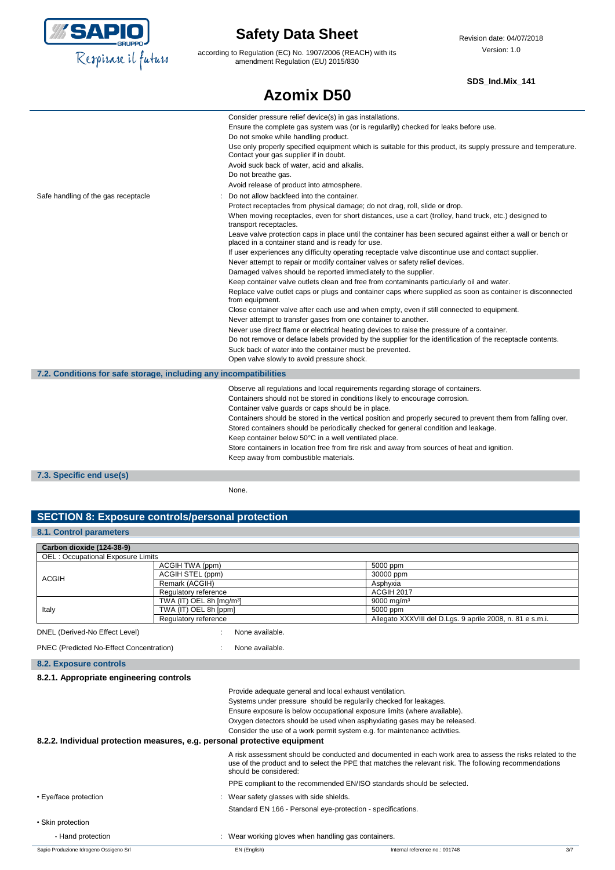

according to Regulation (EC) No. 1907/2006 (REACH) with its amendment Regulation (EU) 2015/830

**Azomix D50**

### **SDS\_Ind.Mix\_141**

|                                                                   | טטש בווות ש                                                                                                                                                                                                                                                                                                                                                                                                                                                                                                                                                                                                                                                                                                                                                                                                                                                                                                                                                                                                                                                                                                                                                                                                                                                                                                                                                                                                                                                                                                                                                                                                                                                                                                                                                                                                                             |
|-------------------------------------------------------------------|-----------------------------------------------------------------------------------------------------------------------------------------------------------------------------------------------------------------------------------------------------------------------------------------------------------------------------------------------------------------------------------------------------------------------------------------------------------------------------------------------------------------------------------------------------------------------------------------------------------------------------------------------------------------------------------------------------------------------------------------------------------------------------------------------------------------------------------------------------------------------------------------------------------------------------------------------------------------------------------------------------------------------------------------------------------------------------------------------------------------------------------------------------------------------------------------------------------------------------------------------------------------------------------------------------------------------------------------------------------------------------------------------------------------------------------------------------------------------------------------------------------------------------------------------------------------------------------------------------------------------------------------------------------------------------------------------------------------------------------------------------------------------------------------------------------------------------------------|
| Safe handling of the gas receptacle                               | Consider pressure relief device(s) in gas installations.<br>Ensure the complete gas system was (or is regularily) checked for leaks before use.<br>Do not smoke while handling product.<br>Use only properly specified equipment which is suitable for this product, its supply pressure and temperature.<br>Contact your gas supplier if in doubt.<br>Avoid suck back of water, acid and alkalis.<br>Do not breathe gas.<br>Avoid release of product into atmosphere.<br>Do not allow backfeed into the container.<br>Protect receptacles from physical damage; do not drag, roll, slide or drop.<br>When moving receptacles, even for short distances, use a cart (trolley, hand truck, etc.) designed to<br>transport receptacles.<br>Leave valve protection caps in place until the container has been secured against either a wall or bench or<br>placed in a container stand and is ready for use.<br>If user experiences any difficulty operating receptacle valve discontinue use and contact supplier.<br>Never attempt to repair or modify container valves or safety relief devices.<br>Damaged valves should be reported immediately to the supplier.<br>Keep container valve outlets clean and free from contaminants particularly oil and water.<br>Replace valve outlet caps or plugs and container caps where supplied as soon as container is disconnected<br>from equipment.<br>Close container valve after each use and when empty, even if still connected to equipment.<br>Never attempt to transfer gases from one container to another.<br>Never use direct flame or electrical heating devices to raise the pressure of a container.<br>Do not remove or deface labels provided by the supplier for the identification of the receptacle contents.<br>Suck back of water into the container must be prevented. |
|                                                                   | Open valve slowly to avoid pressure shock.                                                                                                                                                                                                                                                                                                                                                                                                                                                                                                                                                                                                                                                                                                                                                                                                                                                                                                                                                                                                                                                                                                                                                                                                                                                                                                                                                                                                                                                                                                                                                                                                                                                                                                                                                                                              |
| 7.2. Conditions for safe storage, including any incompatibilities |                                                                                                                                                                                                                                                                                                                                                                                                                                                                                                                                                                                                                                                                                                                                                                                                                                                                                                                                                                                                                                                                                                                                                                                                                                                                                                                                                                                                                                                                                                                                                                                                                                                                                                                                                                                                                                         |
|                                                                   | Observe all regulations and local requirements regarding storage of containers.<br>Containers should not be stored in conditions likely to encourage corrosion.<br>Container valve guards or caps should be in place.<br>Containers should be stored in the vertical position and properly secured to prevent them from falling over.<br>Stored containers should be periodically checked for general condition and leakage.<br>Keep container below 50°C in a well ventilated place.<br>Store containers in location free from fire risk and away from sources of heat and ignition.<br>Keep away from combustible materials.                                                                                                                                                                                                                                                                                                                                                                                                                                                                                                                                                                                                                                                                                                                                                                                                                                                                                                                                                                                                                                                                                                                                                                                                          |
| 7.3. Specific end use(s)                                          |                                                                                                                                                                                                                                                                                                                                                                                                                                                                                                                                                                                                                                                                                                                                                                                                                                                                                                                                                                                                                                                                                                                                                                                                                                                                                                                                                                                                                                                                                                                                                                                                                                                                                                                                                                                                                                         |

None.

### **SECTION 8: Exposure controls/personal protection**

### **8.1. Control parameters**

| Carbon dioxide (124-38-9)                |                                      |                                                           |
|------------------------------------------|--------------------------------------|-----------------------------------------------------------|
| <b>OEL: Occupational Exposure Limits</b> |                                      |                                                           |
|                                          | ACGIH TWA (ppm)                      | 5000 ppm                                                  |
|                                          | ACGIH STEL (ppm)                     | 30000 ppm                                                 |
| ACGIH                                    | Remark (ACGIH)                       | Asphyxia                                                  |
|                                          | Regulatory reference                 | <b>ACGIH 2017</b>                                         |
| Italy                                    | TWA (IT) OEL 8h [mg/m <sup>3</sup> ] | $9000 \,\mathrm{mg/m^3}$                                  |
|                                          | TWA (IT) OEL 8h [ppm]                | 5000 ppm                                                  |
|                                          | Regulatory reference                 | Allegato XXXVIII del D.Lgs. 9 aprile 2008, n. 81 e s.m.i. |

```
PNEC (Predicted No-Effect Concentration) : None available.
```
**8.2. Exposure controls**

| 8.2.1. Appropriate engineering contro |  |
|---------------------------------------|--|

Sapio Produzione Idrogeno Ossigeno Srl **EN (English)** Internal reference no.: 001748 3/7 **8.2.1. Appropriate engineering controls** Provide adequate general and local exhaust ventilation. Systems under pressure should be regularily checked for leakages. Ensure exposure is below occupational exposure limits (where available). Oxygen detectors should be used when asphyxiating gases may be released. Consider the use of a work permit system e.g. for maintenance activities. **8.2.2. Individual protection measures, e.g. personal protective equipment** A risk assessment should be conducted and documented in each work area to assess the risks related to the use of the product and to select the PPE that matches the relevant risk. The following recommendations should be considered: PPE compliant to the recommended EN/ISO standards should be selected. • Eye/face protection **in the state of the set of the set of the set of the state state shields**. Standard EN 166 - Personal eye-protection - specifications. • Skin protection - Hand protection **in the state of the state of the state of the state wear** working gloves when handling gas containers.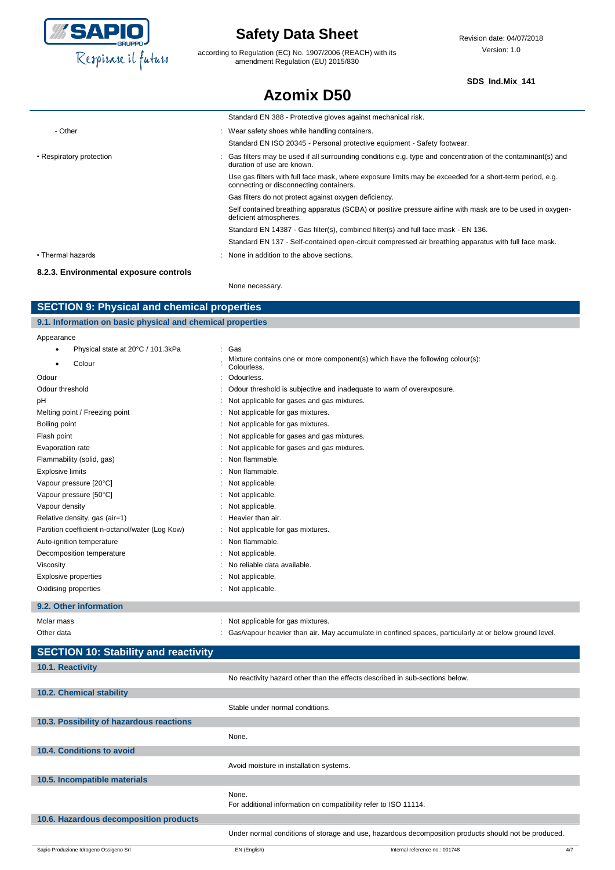

according to Regulation (EC) No. 1907/2006 (REACH) with its amendment Regulation (EU) 2015/830

**Azomix D50**

### **SDS\_Ind.Mix\_141**

|                                        | Standard EN 388 - Protective gloves against mechanical risk.                                                                                        |
|----------------------------------------|-----------------------------------------------------------------------------------------------------------------------------------------------------|
| - Other                                | : Wear safety shoes while handling containers.                                                                                                      |
|                                        | Standard EN ISO 20345 - Personal protective equipment - Safety footwear.                                                                            |
| • Respiratory protection               | : Gas filters may be used if all surrounding conditions e.g. type and concentration of the contaminant(s) and<br>duration of use are known.         |
|                                        | Use gas filters with full face mask, where exposure limits may be exceeded for a short-term period, e.g.<br>connecting or disconnecting containers. |
|                                        | Gas filters do not protect against oxygen deficiency.                                                                                               |
|                                        | Self contained breathing apparatus (SCBA) or positive pressure airline with mask are to be used in oxygen-<br>deficient atmospheres.                |
|                                        | Standard EN 14387 - Gas filter(s), combined filter(s) and full face mask - EN 136.                                                                  |
|                                        | Standard EN 137 - Self-contained open-circuit compressed air breathing apparatus with full face mask.                                               |
| • Thermal hazards                      | None in addition to the above sections.                                                                                                             |
| 8.2.3. Environmental exposure controls |                                                                                                                                                     |
|                                        | None necessary.                                                                                                                                     |

### **SECTION 9: Physical and chemical properties**

| 9.1. Information on basic physical and chemical properties |                                                                                              |  |  |
|------------------------------------------------------------|----------------------------------------------------------------------------------------------|--|--|
| Appearance                                                 |                                                                                              |  |  |
| Physical state at 20°C / 101.3kPa                          | : Gas                                                                                        |  |  |
| Colour                                                     | Mixture contains one or more component(s) which have the following colour(s):<br>Colourless. |  |  |
| Odour                                                      | : Odourless.                                                                                 |  |  |
| Odour threshold                                            | : Odour threshold is subjective and inadequate to warn of overexposure.                      |  |  |
| pH                                                         | : Not applicable for gases and gas mixtures.                                                 |  |  |

| рH                                              | Not applicable for gases and gas mixtures.   |
|-------------------------------------------------|----------------------------------------------|
| Melting point / Freezing point                  | : Not applicable for gas mixtures.           |
| Boiling point                                   | : Not applicable for gas mixtures.           |
| Flash point                                     | : Not applicable for gases and gas mixtures. |
| Evaporation rate                                | : Not applicable for gases and gas mixtures. |
| Flammability (solid, gas)                       | : Non flammable.                             |
| Explosive limits                                | : Non flammable.                             |
| Vapour pressure [20°C]                          | : Not applicable.                            |
| Vapour pressure [50°C]                          | : Not applicable.                            |
| Vapour density                                  | : Not applicable.                            |
| Relative density, gas (air=1)                   | Heavier than air.                            |
| Partition coefficient n-octanol/water (Log Kow) | : Not applicable for gas mixtures.           |
| Auto-ignition temperature                       | : Non flammable.                             |
| Decomposition temperature                       | : Not applicable.                            |
| Viscosity                                       | : No reliable data available.                |
| Explosive properties                            | : Not applicable.                            |
| Oxidising properties                            | Not applicable.                              |
|                                                 |                                              |

### **9.2. Other information**

Molar mass **in the mass** : Not applicable for gas mixtures. Other data **included in the symbol confinent of the C**as/vapour heavier than air. May accumulate in confined spaces, particularly at or below ground level.

| <b>SECTION 10: Stability and reactivity</b> |                                                                              |                                                                                                      |     |
|---------------------------------------------|------------------------------------------------------------------------------|------------------------------------------------------------------------------------------------------|-----|
| 10.1. Reactivity                            |                                                                              |                                                                                                      |     |
|                                             | No reactivity hazard other than the effects described in sub-sections below. |                                                                                                      |     |
| 10.2. Chemical stability                    |                                                                              |                                                                                                      |     |
|                                             | Stable under normal conditions.                                              |                                                                                                      |     |
| 10.3. Possibility of hazardous reactions    |                                                                              |                                                                                                      |     |
|                                             | None.                                                                        |                                                                                                      |     |
| 10.4. Conditions to avoid                   |                                                                              |                                                                                                      |     |
|                                             | Avoid moisture in installation systems.                                      |                                                                                                      |     |
| 10.5. Incompatible materials                |                                                                              |                                                                                                      |     |
|                                             | None.<br>For additional information on compatibility refer to ISO 11114.     |                                                                                                      |     |
| 10.6. Hazardous decomposition products      |                                                                              |                                                                                                      |     |
|                                             |                                                                              | Under normal conditions of storage and use, hazardous decomposition products should not be produced. |     |
| Sapio Produzione Idrogeno Ossigeno Srl      | EN (English)                                                                 | Internal reference no.: 001748                                                                       | 4/7 |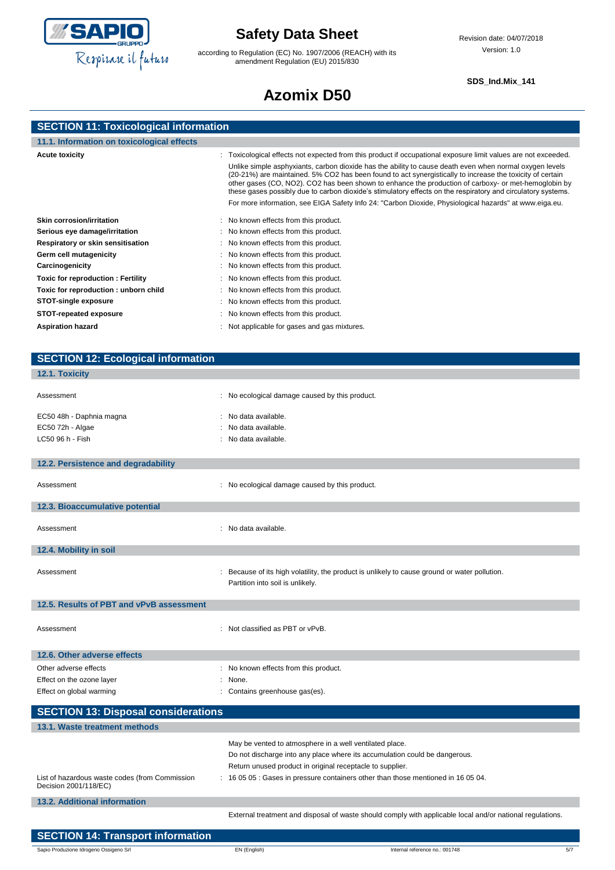

according to Regulation (EC) No. 1907/2006 (REACH) with its amendment Regulation (EU) 2015/830

### **SDS\_Ind.Mix\_141**

# **Azomix D50**

| <b>SECTION 11: Toxicological information</b> |  |  |  |
|----------------------------------------------|--|--|--|
|                                              |  |  |  |

| 11.1. Information on toxicological effects                                                                                                                                                                                                                                                |                                                                                                                                                                                                                                                                                                                                                                                                                                                                                                                                                                                                                                                                          |
|-------------------------------------------------------------------------------------------------------------------------------------------------------------------------------------------------------------------------------------------------------------------------------------------|--------------------------------------------------------------------------------------------------------------------------------------------------------------------------------------------------------------------------------------------------------------------------------------------------------------------------------------------------------------------------------------------------------------------------------------------------------------------------------------------------------------------------------------------------------------------------------------------------------------------------------------------------------------------------|
| <b>Acute toxicity</b>                                                                                                                                                                                                                                                                     | : Toxicological effects not expected from this product if occupational exposure limit values are not exceeded.<br>Unlike simple asphyxiants, carbon dioxide has the ability to cause death even when normal oxygen levels<br>(20-21%) are maintained. 5% CO2 has been found to act synergistically to increase the toxicity of certain<br>other gases (CO, NO2). CO2 has been shown to enhance the production of carboxy- or met-hemoglobin by<br>these gases possibly due to carbon dioxide's stimulatory effects on the respiratory and circulatory systems.<br>For more information, see EIGA Safety Info 24: "Carbon Dioxide, Physiological hazards" at www.eiga.eu. |
| Skin corrosion/irritation<br>Serious eye damage/irritation<br>Respiratory or skin sensitisation<br>Germ cell mutagenicity<br>Carcinogenicity<br><b>Toxic for reproduction: Fertility</b><br>Toxic for reproduction: unborn child<br><b>STOT-single exposure</b><br>STOT-repeated exposure | : No known effects from this product.<br>: No known effects from this product.<br>: No known effects from this product.<br>: No known effects from this product.<br>: No known effects from this product.<br>: No known effects from this product.<br>: No known effects from this product.<br>: No known effects from this product.<br>: No known effects from this product.                                                                                                                                                                                                                                                                                            |
| <b>Aspiration hazard</b>                                                                                                                                                                                                                                                                  | : Not applicable for gases and gas mixtures.                                                                                                                                                                                                                                                                                                                                                                                                                                                                                                                                                                                                                             |

| <b>SECTION 12: Ecological information</b>                               |                                                                                                                      |                                                                                                           |     |
|-------------------------------------------------------------------------|----------------------------------------------------------------------------------------------------------------------|-----------------------------------------------------------------------------------------------------------|-----|
| 12.1. Toxicity                                                          |                                                                                                                      |                                                                                                           |     |
| Assessment                                                              | : No ecological damage caused by this product.                                                                       |                                                                                                           |     |
| EC50 48h - Daphnia magna                                                | : No data available.                                                                                                 |                                                                                                           |     |
| EC50 72h - Algae                                                        | No data available.                                                                                                   |                                                                                                           |     |
| LC50 96 h - Fish                                                        | No data available.                                                                                                   |                                                                                                           |     |
| 12.2. Persistence and degradability                                     |                                                                                                                      |                                                                                                           |     |
| Assessment                                                              | : No ecological damage caused by this product.                                                                       |                                                                                                           |     |
| 12.3. Bioaccumulative potential                                         |                                                                                                                      |                                                                                                           |     |
| Assessment                                                              | : No data available.                                                                                                 |                                                                                                           |     |
| 12.4. Mobility in soil                                                  |                                                                                                                      |                                                                                                           |     |
| Assessment                                                              | Partition into soil is unlikely.                                                                                     | : Because of its high volatility, the product is unlikely to cause ground or water pollution.             |     |
| 12.5. Results of PBT and vPvB assessment                                |                                                                                                                      |                                                                                                           |     |
| Assessment                                                              | : Not classified as PBT or vPvB.                                                                                     |                                                                                                           |     |
| 12.6. Other adverse effects                                             |                                                                                                                      |                                                                                                           |     |
| Other adverse effects                                                   | : No known effects from this product.                                                                                |                                                                                                           |     |
| Effect on the ozone layer                                               | None.                                                                                                                |                                                                                                           |     |
| Effect on global warming                                                | Contains greenhouse gas(es).                                                                                         |                                                                                                           |     |
| <b>SECTION 13: Disposal considerations</b>                              |                                                                                                                      |                                                                                                           |     |
| 13.1. Waste treatment methods                                           |                                                                                                                      |                                                                                                           |     |
|                                                                         | May be vented to atmosphere in a well ventilated place.<br>Return unused product in original receptacle to supplier. | Do not discharge into any place where its accumulation could be dangerous.                                |     |
| List of hazardous waste codes (from Commission<br>Decision 2001/118/EC) |                                                                                                                      | : 16 05 05 : Gases in pressure containers other than those mentioned in 16 05 04.                         |     |
| <b>13.2. Additional information</b>                                     |                                                                                                                      |                                                                                                           |     |
|                                                                         |                                                                                                                      | External treatment and disposal of waste should comply with applicable local and/or national regulations. |     |
| <b>SECTION 14: Transport information</b>                                |                                                                                                                      |                                                                                                           |     |
| Sapio Produzione Idrogeno Ossigeno Srl                                  | EN (English)                                                                                                         | Internal reference no.: 001748                                                                            | 5/7 |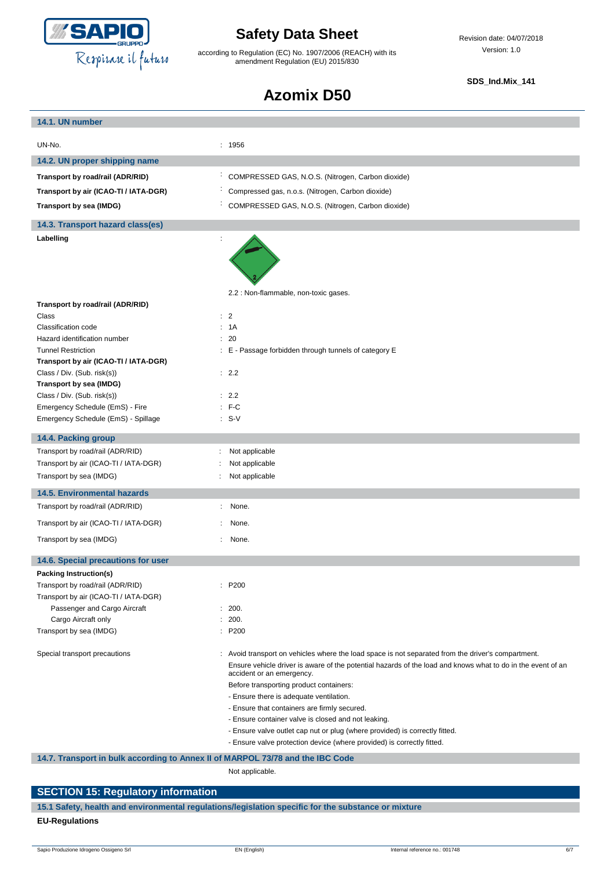

according to Regulation (EC) No. 1907/2006 (REACH) with its amendment Regulation (EU) 2015/830

Revision date: 04/07/2018 Version: 1.0

### **SDS\_Ind.Mix\_141**

## **Azomix D50**

| 14.1. UN number                                                                |                                                                                                                                                                                                                                                                                                                                                                                      |
|--------------------------------------------------------------------------------|--------------------------------------------------------------------------------------------------------------------------------------------------------------------------------------------------------------------------------------------------------------------------------------------------------------------------------------------------------------------------------------|
| UN-No.                                                                         | : 1956                                                                                                                                                                                                                                                                                                                                                                               |
|                                                                                |                                                                                                                                                                                                                                                                                                                                                                                      |
| 14.2. UN proper shipping name                                                  |                                                                                                                                                                                                                                                                                                                                                                                      |
| Transport by road/rail (ADR/RID)                                               | ÷<br>COMPRESSED GAS, N.O.S. (Nitrogen, Carbon dioxide)                                                                                                                                                                                                                                                                                                                               |
| Transport by air (ICAO-TI / IATA-DGR)                                          | Compressed gas, n.o.s. (Nitrogen, Carbon dioxide)                                                                                                                                                                                                                                                                                                                                    |
| Transport by sea (IMDG)                                                        | COMPRESSED GAS, N.O.S. (Nitrogen, Carbon dioxide)                                                                                                                                                                                                                                                                                                                                    |
| 14.3. Transport hazard class(es)                                               |                                                                                                                                                                                                                                                                                                                                                                                      |
| Labelling                                                                      | $\ddot{\phantom{a}}$                                                                                                                                                                                                                                                                                                                                                                 |
|                                                                                |                                                                                                                                                                                                                                                                                                                                                                                      |
|                                                                                | 2.2 : Non-flammable, non-toxic gases.                                                                                                                                                                                                                                                                                                                                                |
| Transport by road/rail (ADR/RID)<br>Class                                      | $\therefore$ 2                                                                                                                                                                                                                                                                                                                                                                       |
| Classification code                                                            | : 1A                                                                                                                                                                                                                                                                                                                                                                                 |
| Hazard identification number                                                   | : 20                                                                                                                                                                                                                                                                                                                                                                                 |
| <b>Tunnel Restriction</b>                                                      | : E - Passage forbidden through tunnels of category E                                                                                                                                                                                                                                                                                                                                |
| Transport by air (ICAO-TI / IATA-DGR)                                          |                                                                                                                                                                                                                                                                                                                                                                                      |
| Class / Div. (Sub. risk(s))                                                    | : 2.2                                                                                                                                                                                                                                                                                                                                                                                |
| Transport by sea (IMDG)                                                        |                                                                                                                                                                                                                                                                                                                                                                                      |
| Class / Div. (Sub. risk(s))                                                    | : 2.2                                                                                                                                                                                                                                                                                                                                                                                |
| Emergency Schedule (EmS) - Fire                                                | $:$ F-C                                                                                                                                                                                                                                                                                                                                                                              |
| Emergency Schedule (EmS) - Spillage                                            | $: S-V$                                                                                                                                                                                                                                                                                                                                                                              |
| 14.4. Packing group                                                            |                                                                                                                                                                                                                                                                                                                                                                                      |
| Transport by road/rail (ADR/RID)                                               | Not applicable<br>÷                                                                                                                                                                                                                                                                                                                                                                  |
| Transport by air (ICAO-TI / IATA-DGR)                                          | Not applicable                                                                                                                                                                                                                                                                                                                                                                       |
| Transport by sea (IMDG)                                                        | Not applicable                                                                                                                                                                                                                                                                                                                                                                       |
| <b>14.5. Environmental hazards</b>                                             |                                                                                                                                                                                                                                                                                                                                                                                      |
| Transport by road/rail (ADR/RID)                                               | None.<br>÷.                                                                                                                                                                                                                                                                                                                                                                          |
| Transport by air (ICAO-TI / IATA-DGR)                                          | None.                                                                                                                                                                                                                                                                                                                                                                                |
| Transport by sea (IMDG)                                                        | ÷<br>None.                                                                                                                                                                                                                                                                                                                                                                           |
| 14.6. Special precautions for user                                             |                                                                                                                                                                                                                                                                                                                                                                                      |
| <b>Packing Instruction(s)</b>                                                  |                                                                                                                                                                                                                                                                                                                                                                                      |
| Transport by road/rail (ADR/RID)                                               | : P200                                                                                                                                                                                                                                                                                                                                                                               |
| Transport by air (ICAO-TI / IATA-DGR)                                          |                                                                                                                                                                                                                                                                                                                                                                                      |
| Passenger and Cargo Aircraft                                                   | : 200.                                                                                                                                                                                                                                                                                                                                                                               |
| Cargo Aircraft only                                                            | 200.                                                                                                                                                                                                                                                                                                                                                                                 |
| Transport by sea (IMDG)                                                        | : P200                                                                                                                                                                                                                                                                                                                                                                               |
| Special transport precautions                                                  | : Avoid transport on vehicles where the load space is not separated from the driver's compartment.<br>Ensure vehicle driver is aware of the potential hazards of the load and knows what to do in the event of an<br>accident or an emergency.<br>Before transporting product containers:<br>- Ensure there is adequate ventilation.<br>- Ensure that containers are firmly secured. |
|                                                                                | - Ensure container valve is closed and not leaking.                                                                                                                                                                                                                                                                                                                                  |
|                                                                                | - Ensure valve outlet cap nut or plug (where provided) is correctly fitted.                                                                                                                                                                                                                                                                                                          |
|                                                                                | - Ensure valve protection device (where provided) is correctly fitted.                                                                                                                                                                                                                                                                                                               |
| 14.7. Transport in bulk according to Annex II of MARPOL 73/78 and the IBC Code |                                                                                                                                                                                                                                                                                                                                                                                      |

Not applicable.

## **SECTION 15: Regulatory information 15.1 Safety, health and environmental regulations/legislation specific for the substance or mixture**

### **EU-Regulations**